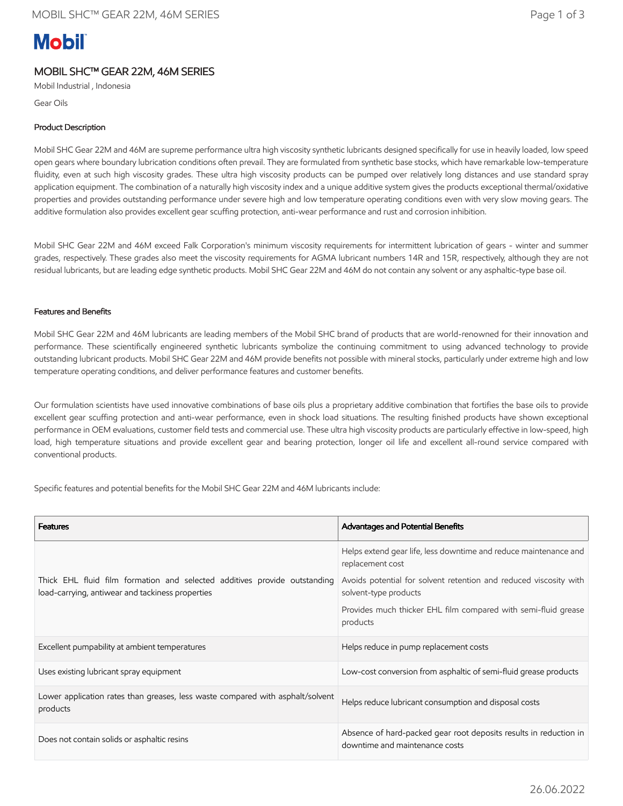# **Mobil**

## MOBIL SHC™ GEAR 22M, 46M SERIES

Mobil Industrial , Indonesia

Gear Oils

## Product Description

Mobil SHC Gear 22M and 46M are supreme performance ultra high viscosity synthetic lubricants designed specifically for use in heavily loaded, low speed open gears where boundary lubrication conditions often prevail. They are formulated from synthetic base stocks, which have remarkable low-temperature fluidity, even at such high viscosity grades. These ultra high viscosity products can be pumped over relatively long distances and use standard spray application equipment. The combination of a naturally high viscosity index and a unique additive system gives the products exceptional thermal/oxidative properties and provides outstanding performance under severe high and low temperature operating conditions even with very slow moving gears. The additive formulation also provides excellent gear scuffing protection, anti-wear performance and rust and corrosion inhibition.

Mobil SHC Gear 22M and 46M exceed Falk Corporation's minimum viscosity requirements for intermittent lubrication of gears - winter and summer grades, respectively. These grades also meet the viscosity requirements for AGMA lubricant numbers 14R and 15R, respectively, although they are not residual lubricants, but are leading edge synthetic products. Mobil SHC Gear 22M and 46M do not contain any solvent or any asphaltic-type base oil.

### Features and Benefits

Mobil SHC Gear 22M and 46M lubricants are leading members of the Mobil SHC brand of products that are world-renowned for their innovation and performance. These scientifically engineered synthetic lubricants symbolize the continuing commitment to using advanced technology to provide outstanding lubricant products. Mobil SHC Gear 22M and 46M provide benefits not possible with mineral stocks, particularly under extreme high and low temperature operating conditions, and deliver performance features and customer benefits.

Our formulation scientists have used innovative combinations of base oils plus a proprietary additive combination that fortifies the base oils to provide excellent gear scuffing protection and anti-wear performance, even in shock load situations. The resulting finished products have shown exceptional performance in OEM evaluations, customer field tests and commercial use. These ultra high viscosity products are particularly effective in low-speed, high load, high temperature situations and provide excellent gear and bearing protection, longer oil life and excellent all-round service compared with conventional products.

Specific features and potential benefits for the Mobil SHC Gear 22M and 46M lubricants include:

| <b>Features</b>                                                                                                               | Advantages and Potential Benefits                                                                   |
|-------------------------------------------------------------------------------------------------------------------------------|-----------------------------------------------------------------------------------------------------|
| Thick EHL fluid film formation and selected additives provide outstanding<br>load-carrying, antiwear and tackiness properties | Helps extend gear life, less downtime and reduce maintenance and<br>replacement cost                |
|                                                                                                                               | Avoids potential for solvent retention and reduced viscosity with<br>solvent-type products          |
|                                                                                                                               | Provides much thicker EHL film compared with semi-fluid grease<br>products                          |
| Excellent pumpability at ambient temperatures                                                                                 | Helps reduce in pump replacement costs                                                              |
| Uses existing lubricant spray equipment                                                                                       | Low-cost conversion from asphaltic of semi-fluid grease products                                    |
| Lower application rates than greases, less waste compared with asphalt/solvent<br>products                                    | Helps reduce lubricant consumption and disposal costs                                               |
| Does not contain solids or asphaltic resins                                                                                   | Absence of hard-packed gear root deposits results in reduction in<br>downtime and maintenance costs |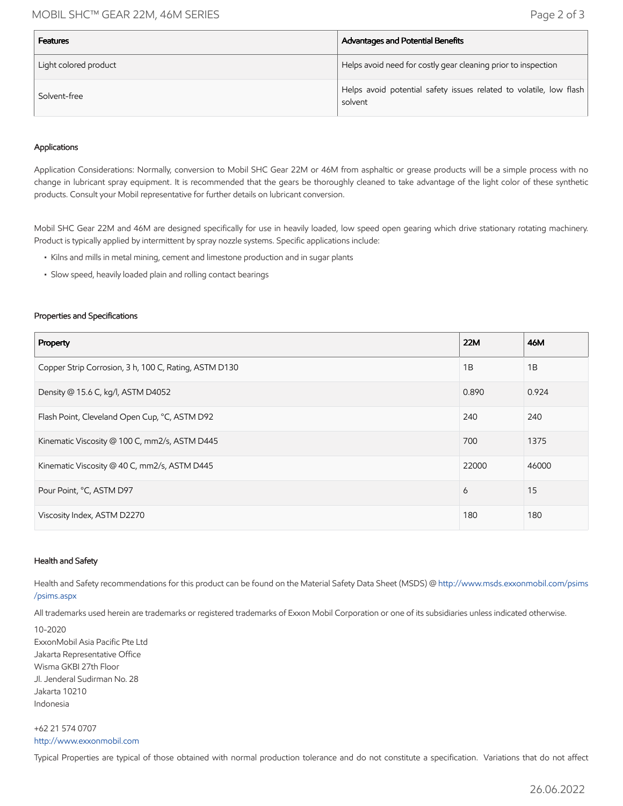## MOBIL SHC™ GEAR 22M, 46M SERIES Page 2 of 3

| <b>Features</b>       | Advantages and Potential Benefits                                             |
|-----------------------|-------------------------------------------------------------------------------|
| Light colored product | Helps avoid need for costly gear cleaning prior to inspection                 |
| Solvent-free          | Helps avoid potential safety issues related to volatile, low flash<br>solvent |

#### Applications

Application Considerations: Normally, conversion to Mobil SHC Gear 22M or 46M from asphaltic or grease products will be a simple process with no change in lubricant spray equipment. It is recommended that the gears be thoroughly cleaned to take advantage of the light color of these synthetic products. Consult your Mobil representative for further details on lubricant conversion.

Mobil SHC Gear 22M and 46M are designed specifically for use in heavily loaded, low speed open gearing which drive stationary rotating machinery. Product is typically applied by intermittent by spray nozzle systems. Specific applications include:

- Kilns and mills in metal mining, cement and limestone production and in sugar plants
- Slow speed, heavily loaded plain and rolling contact bearings

#### Properties and Specifications

| Property                                              | 22M   | 46M   |
|-------------------------------------------------------|-------|-------|
| Copper Strip Corrosion, 3 h, 100 C, Rating, ASTM D130 | 1B    | 1B    |
| Density @ 15.6 C, kg/l, ASTM D4052                    | 0.890 | 0.924 |
| Flash Point, Cleveland Open Cup, °C, ASTM D92         | 240   | 240   |
| Kinematic Viscosity @ 100 C, mm2/s, ASTM D445         | 700   | 1375  |
| Kinematic Viscosity @ 40 C, mm2/s, ASTM D445          | 22000 | 46000 |
| Pour Point, °C, ASTM D97                              | 6     | 15    |
| Viscosity Index, ASTM D2270                           | 180   | 180   |

#### Health and Safety

Health and Safety recommendations for this product can be found on the Material Safety Data Sheet (MSDS) @ [http://www.msds.exxonmobil.com/psims](http://www.msds.exxonmobil.com/psims/psims.aspx) /psims.aspx

All trademarks used herein are trademarks or registered trademarks of Exxon Mobil Corporation or one of its subsidiaries unless indicated otherwise.

10-2020

ExxonMobil Asia Pacific Pte Ltd Jakarta Representative Office Wisma GKBI 27th Floor Jl. Jenderal Sudirman No. 28 Jakarta 10210 Indonesia

+62 21 574 0707 [http://www.exxonmobil.com](http://www.exxonmobil.com/)

Typical Properties are typical of those obtained with normal production tolerance and do not constitute a specification. Variations that do not affect